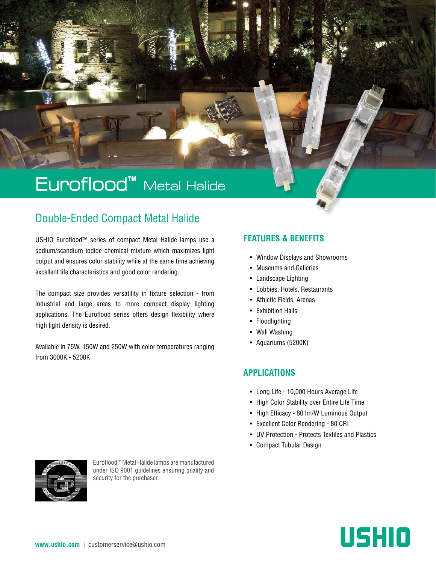# Euroflood™ Metal Halide

# Double-Ended Compact Metal Halide

USHIO Euroflood™ series of compact Metal Halide lamps use a sodium/scandium iodide chemical mixture which maximizes light output and ensures color stability while at the same time achieving excellent life characteristics and good color rendering.

The compact size provides versatility in fixture selection - from industrial and large areas to more compact display lighting applications. The Euroflood series offers design flexibility where high light density is desired.

Available in 75W, 150W and 250W with color temperatures ranging from 3000K - 5200K

# **FEATURES & BENEFITS**

- Window Displays and Showrooms
- Museums and Galleries
- Landscape Lighting
- Lobbies, Hotels, Restaurants
- Athletic Fields, Arenas
- Exhibition Halls
- Floodlighting
- Wall Washing
- Aquariums (5200K)

## **APPLICATIONS**

- Long Life 10,000 Hours Average Life
- High Color Stability over Entire Life Time
- High Efficacy 80 lm/W Luminous Output
- Excellent Color Rendering 80 CRI
- UV Protection Protects Textiles and Plastics
- Compact Tubular Design



Euroflood™ Metal Halide lamps are manufactured under ISO 9001 guidelines ensuring quality and security for the purchaser.